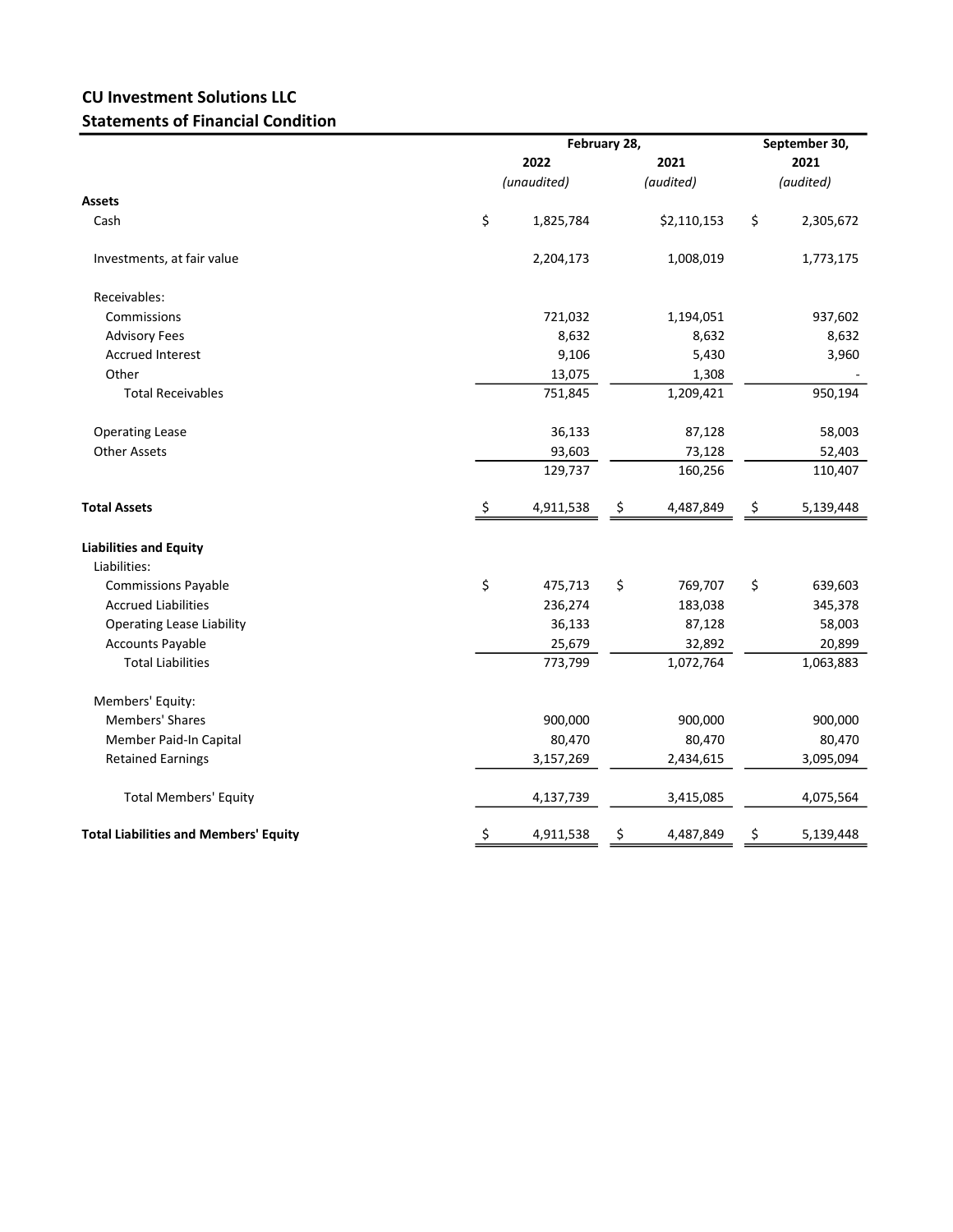## CU Investment Solutions LLC Statements of Financial Condition

|                                              |             | February 28, | September 30,<br>2021 |             |      |           |  |
|----------------------------------------------|-------------|--------------|-----------------------|-------------|------|-----------|--|
|                                              | 2022        |              |                       |             | 2021 |           |  |
|                                              | (unaudited) |              |                       | (audited)   |      | (audited) |  |
| <b>Assets</b>                                |             |              |                       |             |      |           |  |
| Cash                                         | \$          | 1,825,784    |                       | \$2,110,153 | \$   | 2,305,672 |  |
| Investments, at fair value                   |             | 2,204,173    |                       | 1,008,019   |      | 1,773,175 |  |
| Receivables:                                 |             |              |                       |             |      |           |  |
| Commissions                                  |             | 721,032      |                       | 1,194,051   |      | 937,602   |  |
| <b>Advisory Fees</b>                         |             | 8,632        |                       | 8,632       |      | 8,632     |  |
| <b>Accrued Interest</b>                      |             | 9,106        |                       | 5,430       |      | 3,960     |  |
| Other                                        |             | 13,075       |                       | 1,308       |      |           |  |
| <b>Total Receivables</b>                     |             | 751,845      |                       | 1,209,421   |      | 950,194   |  |
| <b>Operating Lease</b>                       |             | 36,133       |                       | 87,128      |      | 58,003    |  |
| <b>Other Assets</b>                          |             | 93,603       |                       | 73,128      |      | 52,403    |  |
|                                              |             | 129,737      |                       | 160,256     |      | 110,407   |  |
| <b>Total Assets</b>                          | \$          | 4,911,538    | \$                    | 4,487,849   | \$   | 5,139,448 |  |
| <b>Liabilities and Equity</b>                |             |              |                       |             |      |           |  |
| Liabilities:                                 |             |              |                       |             |      |           |  |
| <b>Commissions Payable</b>                   | \$          | 475,713      | \$                    | 769,707     | \$   | 639,603   |  |
| <b>Accrued Liabilities</b>                   |             | 236,274      |                       | 183,038     |      | 345,378   |  |
| <b>Operating Lease Liability</b>             |             | 36,133       |                       | 87,128      |      | 58,003    |  |
| <b>Accounts Payable</b>                      |             | 25,679       |                       | 32,892      |      | 20,899    |  |
| <b>Total Liabilities</b>                     |             | 773,799      |                       | 1,072,764   |      | 1,063,883 |  |
| Members' Equity:                             |             |              |                       |             |      |           |  |
| <b>Members' Shares</b>                       |             | 900,000      |                       | 900,000     |      | 900,000   |  |
| Member Paid-In Capital                       |             | 80,470       |                       | 80,470      |      | 80,470    |  |
| <b>Retained Earnings</b>                     |             | 3,157,269    |                       | 2,434,615   |      | 3,095,094 |  |
| <b>Total Members' Equity</b>                 |             | 4,137,739    |                       | 3,415,085   |      | 4,075,564 |  |
| <b>Total Liabilities and Members' Equity</b> | \$          | 4,911,538    | Ş                     | 4,487,849   | \$   | 5,139,448 |  |